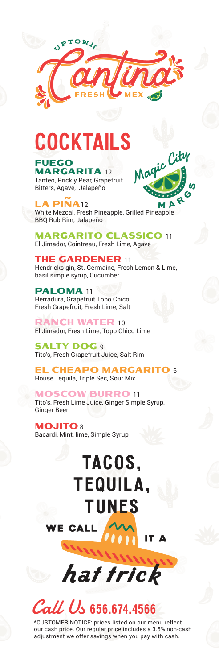

## **COCKTAILS**

#### **FUEGO**

**MARGARITA 12** Tanteo, Prickly Pear, Grapefruit Bitters, Agave, Jalapeño

LA PIÑA12 D White Mezcal, Fresh Pineapple, Grilled Pineapple BBQ Rub Rim, Jalapeño

City

Ø

Magic

**MARGARITO CLASSICO 11** El Jimador, Cointreau, Fresh Lime, Agave

**THE GARDENER 11** Hendricks gin, St. Germaine, Fresh Lemon & Lime, basil simple syrup, Cucumber

PALOMA 11 Herradura, Grapefruit Topo Chico, Fresh Grapefruit, Fresh Lime, Salt

RANCH WATER 10 El Jimador, Fresh Lime, Topo Chico Lime

**SALTY DOG 9** Tito's, Fresh Grapefruit Juice, Salt Rim

**EL CHEAPO MARGARITO 6** House Tequila, Triple Sec, Sour Mix

**MOSCOW BURRO 11** Tito's, Fresh Lime Juice, Ginger Simple Syrup, Ginger Beer

**MOJITO8** Bacardi, Mint, lime, Simple Syrup

**CALL** 

IΕ

### TACOS. **TEQUILA. TUNES**

IT A





\*CUSTOMER NOTICE: prices listed on our menu reflect our cash price. Our regular price includes a 3.5% non-cash adjustment we offer savings when you pay with cash.